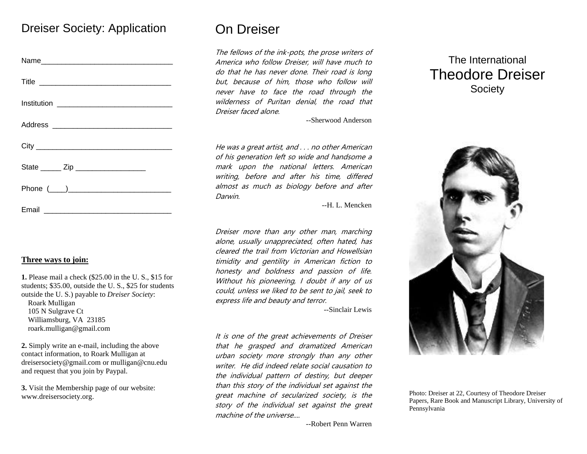## Dreiser Society: Application

| State _______ Zip ____________________ |
|----------------------------------------|
|                                        |
|                                        |

## **Three ways to join:**

**1.** Please mail a check (\$25.00 in the U. S., \$15 for students; \$35.00, outside the U. S., \$25 for students outside the U. S.) payable to *Dreiser Society*: Roark Mulligan 105 N Sulgrave Ct Williamsburg, VA 2318[5](mailto:mulligan@cnu.edu) roark.mulligan@gmail.com

**2.** Simply write an e-mail, including the above contact information, to Roark Mulligan at dreisersociety@gmail.com or mulligan@cnu.edu and request that you join by Paypal.

**3.** Visit the Membership page of our website: www.dreisersociety.org.

# On Dreiser

The fellows of the ink-pots, the prose writers of America who follow Dreiser, will have much to do that he has never done. Their road is long but, because of him, those who follow will never have to face the road through the wilderness of Puritan denial, the road that Dreiser faced alone.

--Sherwood Anderson

He was a great artist, and . . . no other American of his generation left so wide and handsome a mark upon the national letters. American writing, before and after his time, differed almost as much as biology before and after Darwin.

--H. L. Mencken

Dreiser more than any other man, marching alone, usually unappreciated, often hated, has cleared the trail from Victorian and Howellsian timidity and gentility in American fiction to honesty and boldness and passion of life. Without his pioneering, I doubt if any of us could, unless we liked to be sent to jail, seek to express life and beauty and terror.

--Sinclair Lewis

It is one of the great achievements of Dreiser that he grasped and dramatized American urban society more strongly than any other writer. He did indeed relate social causation to the individual pattern of destiny, but deeper than this story of the individual set against the great machine of secularized society, is the story of the individual set against the great machine of the universe....

# The International Theodore Dreiser **Society**



Photo: Dreiser at 22, Courtesy of Theodore Dreiser Papers, Rare Book and Manuscript Library, University of Pennsylvania

--Robert Penn Warren